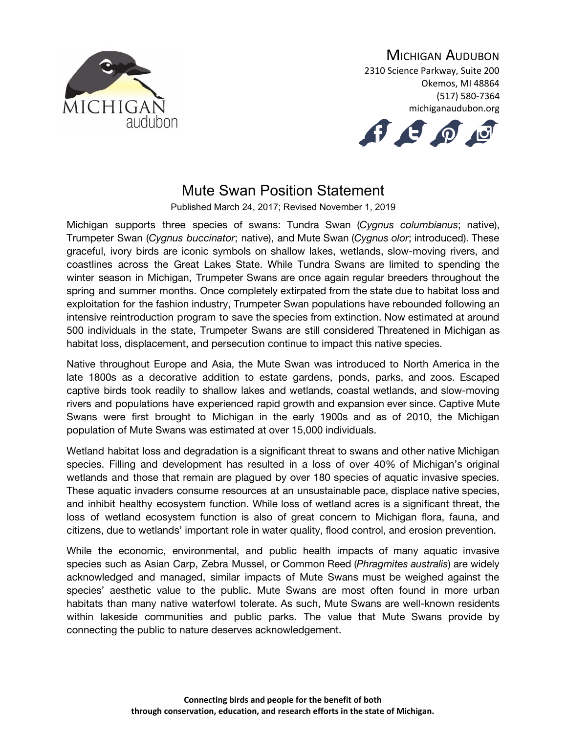

## MICHIGAN AUDUBON

2310 Science Parkway, Suite 200 Okemos, MI 48864 (517) 580-7364 michiganaudubon.org



## Mute Swan Position Statement

Published March 24, 2017; Revised November 1, 2019

Michigan supports three species of swans: Tundra Swan (*Cygnus columbianus*; native), Trumpeter Swan (*Cygnus buccinator*; native), and Mute Swan (*Cygnus olor*; introduced). These graceful, ivory birds are iconic symbols on shallow lakes, wetlands, slow-moving rivers, and coastlines across the Great Lakes State. While Tundra Swans are limited to spending the winter season in Michigan, Trumpeter Swans are once again regular breeders throughout the spring and summer months. Once completely extirpated from the state due to habitat loss and exploitation for the fashion industry, Trumpeter Swan populations have rebounded following an intensive reintroduction program to save the species from extinction. Now estimated at around 500 individuals in the state, Trumpeter Swans are still considered Threatened in Michigan as habitat loss, displacement, and persecution continue to impact this native species.

Native throughout Europe and Asia, the Mute Swan was introduced to North America in the late 1800s as a decorative addition to estate gardens, ponds, parks, and zoos. Escaped captive birds took readily to shallow lakes and wetlands, coastal wetlands, and slow-moving rivers and populations have experienced rapid growth and expansion ever since. Captive Mute Swans were first brought to Michigan in the early 1900s and as of 2010, the Michigan population of Mute Swans was estimated at over 15,000 individuals.

Wetland habitat loss and degradation is a significant threat to swans and other native Michigan species. Filling and development has resulted in a loss of over 40% of Michigan's original wetlands and those that remain are plagued by over 180 species of aquatic invasive species. These aquatic invaders consume resources at an unsustainable pace, displace native species, and inhibit healthy ecosystem function. While loss of wetland acres is a significant threat, the loss of wetland ecosystem function is also of great concern to Michigan flora, fauna, and citizens, due to wetlands' important role in water quality, flood control, and erosion prevention.

While the economic, environmental, and public health impacts of many aquatic invasive species such as Asian Carp, Zebra Mussel, or Common Reed (*Phragmites australis*) are widely acknowledged and managed, similar impacts of Mute Swans must be weighed against the species' aesthetic value to the public. Mute Swans are most often found in more urban habitats than many native waterfowl tolerate. As such, Mute Swans are well-known residents within lakeside communities and public parks. The value that Mute Swans provide by connecting the public to nature deserves acknowledgement.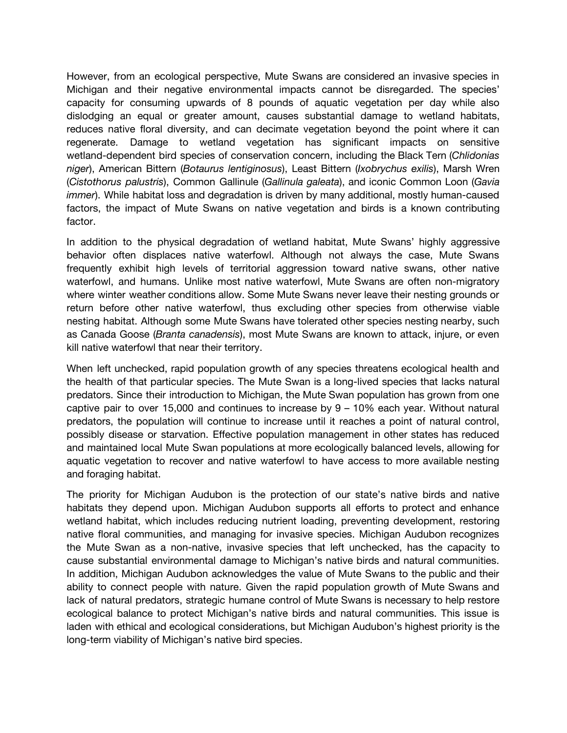However, from an ecological perspective, Mute Swans are considered an invasive species in Michigan and their negative environmental impacts cannot be disregarded. The species' capacity for consuming upwards of 8 pounds of aquatic vegetation per day while also dislodging an equal or greater amount, causes substantial damage to wetland habitats, reduces native floral diversity, and can decimate vegetation beyond the point where it can regenerate. Damage to wetland vegetation has significant impacts on sensitive wetland-dependent bird species of conservation concern, including the Black Tern (*Chlidonias niger*), American Bittern (*Botaurus lentiginosus*), Least Bittern (*Ixobrychus exilis*), Marsh Wren (*Cistothorus palustris*), Common Gallinule (*Gallinula galeata*), and iconic Common Loon (*Gavia immer*). While habitat loss and degradation is driven by many additional, mostly human-caused factors, the impact of Mute Swans on native vegetation and birds is a known contributing factor.

In addition to the physical degradation of wetland habitat, Mute Swans' highly aggressive behavior often displaces native waterfowl. Although not always the case, Mute Swans frequently exhibit high levels of territorial aggression toward native swans, other native waterfowl, and humans. Unlike most native waterfowl, Mute Swans are often non-migratory where winter weather conditions allow. Some Mute Swans never leave their nesting grounds or return before other native waterfowl, thus excluding other species from otherwise viable nesting habitat. Although some Mute Swans have tolerated other species nesting nearby, such as Canada Goose (*Branta canadensis*), most Mute Swans are known to attack, injure, or even kill native waterfowl that near their territory.

When left unchecked, rapid population growth of any species threatens ecological health and the health of that particular species. The Mute Swan is a long-lived species that lacks natural predators. Since their introduction to Michigan, the Mute Swan population has grown from one captive pair to over 15,000 and continues to increase by 9 – 10% each year. Without natural predators, the population will continue to increase until it reaches a point of natural control, possibly disease or starvation. Effective population management in other states has reduced and maintained local Mute Swan populations at more ecologically balanced levels, allowing for aquatic vegetation to recover and native waterfowl to have access to more available nesting and foraging habitat.

The priority for Michigan Audubon is the protection of our state's native birds and native habitats they depend upon. Michigan Audubon supports all efforts to protect and enhance wetland habitat, which includes reducing nutrient loading, preventing development, restoring native floral communities, and managing for invasive species. Michigan Audubon recognizes the Mute Swan as a non-native, invasive species that left unchecked, has the capacity to cause substantial environmental damage to Michigan's native birds and natural communities. In addition, Michigan Audubon acknowledges the value of Mute Swans to the public and their ability to connect people with nature. Given the rapid population growth of Mute Swans and lack of natural predators, strategic humane control of Mute Swans is necessary to help restore ecological balance to protect Michigan's native birds and natural communities. This issue is laden with ethical and ecological considerations, but Michigan Audubon's highest priority is the long-term viability of Michigan's native bird species.